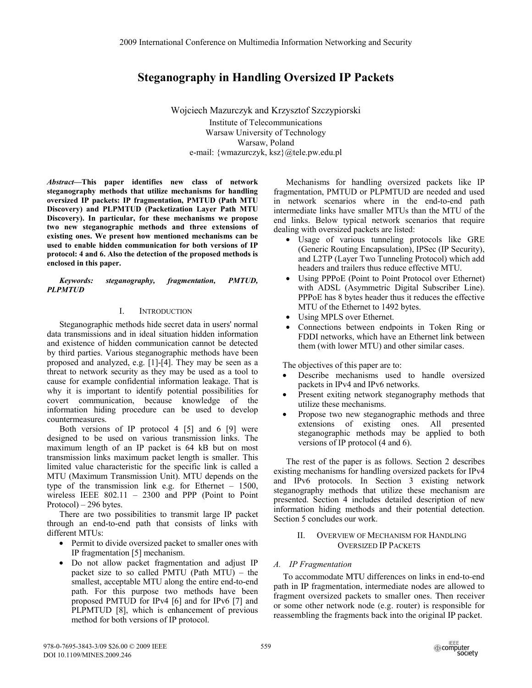# **Steganography in Handling Oversized IP Packets**

Wojciech Mazurczyk and Krzysztof Szczypiorski Institute of Telecommunications Warsaw University of Technology Warsaw, Poland e-mail: {wmazurczyk, ksz}@tele.pw.edu.pl

*Abstract***—This paper identifies new class of network steganography methods that utilize mechanisms for handling oversized IP packets: IP fragmentation, PMTUD (Path MTU Discovery) and PLPMTUD (Packetization Layer Path MTU Discovery). In particular, for these mechanisms we propose two new steganographic methods and three extensions of existing ones. We present how mentioned mechanisms can be used to enable hidden communication for both versions of IP protocol: 4 and 6. Also the detection of the proposed methods is enclosed in this paper.** 

### *Keywords: steganography, fragmentation, PMTUD, PLPMTUD*

## I. INTRODUCTION

Steganographic methods hide secret data in users' normal data transmissions and in ideal situation hidden information and existence of hidden communication cannot be detected by third parties. Various steganographic methods have been proposed and analyzed, e.g. [1]-[4]. They may be seen as a threat to network security as they may be used as a tool to cause for example confidential information leakage. That is why it is important to identify potential possibilities for covert communication, because knowledge of the information hiding procedure can be used to develop countermeasures.

Both versions of IP protocol 4 [5] and 6 [9] were designed to be used on various transmission links. The maximum length of an IP packet is 64 kB but on most transmission links maximum packet length is smaller. This limited value characteristic for the specific link is called a MTU (Maximum Transmission Unit). MTU depends on the type of the transmission link e.g. for Ethernet – 1500, wireless IEEE 802.11 – 2300 and PPP (Point to Point Protocol) – 296 bytes.

There are two possibilities to transmit large IP packet through an end-to-end path that consists of links with different MTUs:

- Permit to divide oversized packet to smaller ones with IP fragmentation [5] mechanism.
- Do not allow packet fragmentation and adjust IP packet size to so called PMTU (Path MTU) – the smallest, acceptable MTU along the entire end-to-end path. For this purpose two methods have been proposed PMTUD for IPv4 [6] and for IPv6 [7] and PLPMTUD [8], which is enhancement of previous method for both versions of IP protocol.

Mechanisms for handling oversized packets like IP fragmentation, PMTUD or PLPMTUD are needed and used in network scenarios where in the end-to-end path intermediate links have smaller MTUs than the MTU of the end links. Below typical network scenarios that require dealing with oversized packets are listed:

- Usage of various tunneling protocols like GRE (Generic Routing Encapsulation), IPSec (IP Security), and L2TP (Layer Two Tunneling Protocol) which add headers and trailers thus reduce effective MTU.
- Using PPPoE (Point to Point Protocol over Ethernet) with ADSL (Asymmetric Digital Subscriber Line). PPPoE has 8 bytes header thus it reduces the effective MTU of the Ethernet to 1492 bytes.
- Using MPLS over Ethernet.
- Connections between endpoints in Token Ring or FDDI networks, which have an Ethernet link between them (with lower MTU) and other similar cases.

The objectives of this paper are to:

- Describe mechanisms used to handle oversized packets in IPv4 and IPv6 networks.
- Present exiting network steganography methods that utilize these mechanisms.
- Propose two new steganographic methods and three extensions of existing ones. All presented steganographic methods may be applied to both versions of IP protocol (4 and 6).

The rest of the paper is as follows. Section 2 describes existing mechanisms for handling oversized packets for IPv4 and IPv6 protocols. In Section 3 existing network steganography methods that utilize these mechanism are presented. Section 4 includes detailed description of new information hiding methods and their potential detection. Section 5 concludes our work.

## II. OVERVIEW OF MECHANISM FOR HANDLING OVERSIZED IP PACKETS

## *A. IP Fragmentation*

To accommodate MTU differences on links in end-to-end path in IP fragmentation, intermediate nodes are allowed to fragment oversized packets to smaller ones. Then receiver or some other network node (e.g. router) is responsible for reassembling the fragments back into the original IP packet.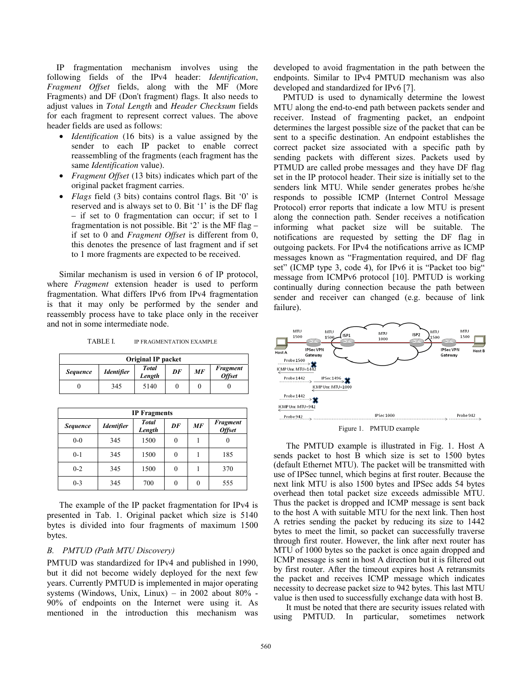IP fragmentation mechanism involves using the following fields of the IPv4 header: *Identification*, *Fragment Offset* fields, along with the MF (More Fragments) and DF (Don't fragment) flags. It also needs to adjust values in *Total Length* and *Header Checksum* fields for each fragment to represent correct values. The above header fields are used as follows:

- *Identification* (16 bits) is a value assigned by the sender to each IP packet to enable correct reassembling of the fragments (each fragment has the same *Identification* value).
- *Fragment Offset* (13 bits) indicates which part of the original packet fragment carries.
- *Flags* field (3 bits) contains control flags. Bit '0' is reserved and is always set to 0. Bit '1' is the DF flag – if set to 0 fragmentation can occur; if set to 1 fragmentation is not possible. Bit '2' is the MF flag – if set to 0 and *Fragment Offset* is different from 0, this denotes the presence of last fragment and if set to 1 more fragments are expected to be received.

Similar mechanism is used in version 6 of IP protocol, where *Fragment* extension header is used to perform fragmentation. What differs IPv6 from IPv4 fragmentation is that it may only be performed by the sender and reassembly process have to take place only in the receiver and not in some intermediate node.

TABLE I. IP FRAGMENTATION EXAMPLE

| <b>Original IP packet</b> |                   |                        |    |    |                           |  |
|---------------------------|-------------------|------------------------|----|----|---------------------------|--|
| <b>Sequence</b>           | <b>Identifier</b> | <b>Total</b><br>Length | DF | МF | Fragment<br><b>Offset</b> |  |
|                           | 345               | 5140                   |    |    |                           |  |

| <b>IP</b> Fragments |                   |                        |                 |          |                    |  |  |
|---------------------|-------------------|------------------------|-----------------|----------|--------------------|--|--|
| <b>Sequence</b>     | <b>Identifier</b> | <b>Total</b><br>Length | DF<br><b>MF</b> |          | Fragment<br>Offset |  |  |
| $0-0$               | 345               | 1500                   | 0               |          | 0                  |  |  |
| $0 - 1$             | 345               | 1500                   | $\theta$        |          | 185                |  |  |
| $0 - 2$             | 345               | 1500                   | $\theta$        |          | 370                |  |  |
| $0 - 3$             | 345               | 700                    | $\theta$        | $\theta$ | 555                |  |  |

The example of the IP packet fragmentation for IPv4 is presented in Tab. 1. Original packet which size is 5140 bytes is divided into four fragments of maximum 1500 bytes.

### *B. PMTUD (Path MTU Discovery)*

PMTUD was standardized for IPv4 and published in 1990, but it did not become widely deployed for the next few years. Currently PMTUD is implemented in major operating systems (Windows, Unix, Linux) – in 2002 about 80% - 90% of endpoints on the Internet were using it. As mentioned in the introduction this mechanism was developed to avoid fragmentation in the path between the endpoints. Similar to IPv4 PMTUD mechanism was also developed and standardized for IPv6 [7].

PMTUD is used to dynamically determine the lowest MTU along the end-to-end path between packets sender and receiver. Instead of fragmenting packet, an endpoint determines the largest possible size of the packet that can be sent to a specific destination. An endpoint establishes the correct packet size associated with a specific path by sending packets with different sizes. Packets used by PTMUD are called probe messages and they have DF flag set in the IP protocol header. Their size is initially set to the senders link MTU. While sender generates probes he/she responds to possible ICMP (Internet Control Message Protocol) error reports that indicate a low MTU is present along the connection path. Sender receives a notification informing what packet size will be suitable. The notifications are requested by setting the DF flag in outgoing packets. For IPv4 the notifications arrive as ICMP messages known as "Fragmentation required, and DF flag set" (ICMP type 3, code 4), for IPv6 it is "Packet too big" message from ICMPv6 protocol [10]. PMTUD is working continually during connection because the path between sender and receiver can changed (e.g. because of link failure).



The PMTUD example is illustrated in Fig. 1. Host A sends packet to host B which size is set to 1500 bytes (default Ethernet MTU). The packet will be transmitted with use of IPSec tunnel, which begins at first router. Because the next link MTU is also 1500 bytes and IPSec adds 54 bytes overhead then total packet size exceeds admissible MTU. Thus the packet is dropped and ICMP message is sent back to the host A with suitable MTU for the next link. Then host A retries sending the packet by reducing its size to 1442 bytes to meet the limit, so packet can successfully traverse through first router. However, the link after next router has MTU of 1000 bytes so the packet is once again dropped and ICMP message is sent in host A direction but it is filtered out by first router. After the timeout expires host A retransmits the packet and receives ICMP message which indicates necessity to decrease packet size to 942 bytes. This last MTU value is then used to successfully exchange data with host B.

It must be noted that there are security issues related with using PMTUD. In particular, sometimes network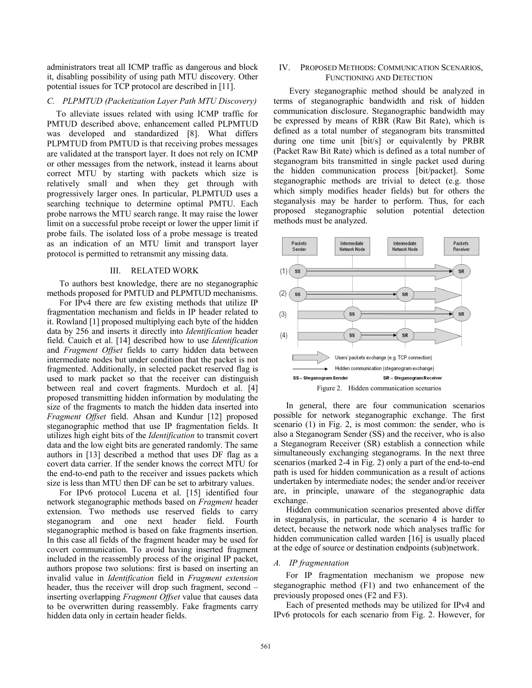administrators treat all ICMP traffic as dangerous and block it, disabling possibility of using path MTU discovery. Other potential issues for TCP protocol are described in [11].

### *C. PLPMTUD (Packetization Layer Path MTU Discovery)*

To alleviate issues related with using ICMP traffic for PMTUD described above, enhancement called PLPMTUD was developed and standardized [8]. What differs PLPMTUD from PMTUD is that receiving probes messages are validated at the transport layer. It does not rely on ICMP or other messages from the network, instead it learns about correct MTU by starting with packets which size is relatively small and when they get through with progressively larger ones. In particular, PLPMTUD uses a searching technique to determine optimal PMTU. Each probe narrows the MTU search range. It may raise the lower limit on a successful probe receipt or lower the upper limit if probe fails. The isolated loss of a probe message is treated as an indication of an MTU limit and transport layer protocol is permitted to retransmit any missing data.

#### III. RELATED WORK

To authors best knowledge, there are no steganographic methods proposed for PMTUD and PLPMTUD mechanisms.

For IPv4 there are few existing methods that utilize IP fragmentation mechanism and fields in IP header related to it. Rowland [1] proposed multiplying each byte of the hidden data by 256 and inserts it directly into *Identification* header field. Cauich et al. [14] described how to use *Identification* and *Fragment Offset* fields to carry hidden data between intermediate nodes but under condition that the packet is not fragmented. Additionally, in selected packet reserved flag is used to mark packet so that the receiver can distinguish between real and covert fragments. Murdoch et al. [4] proposed transmitting hidden information by modulating the size of the fragments to match the hidden data inserted into *Fragment Offset* field. Ahsan and Kundur [12] proposed steganographic method that use IP fragmentation fields. It utilizes high eight bits of the *Identification* to transmit covert data and the low eight bits are generated randomly. The same authors in [13] described a method that uses DF flag as a covert data carrier. If the sender knows the correct MTU for the end-to-end path to the receiver and issues packets which size is less than MTU then DF can be set to arbitrary values.

For IPv6 protocol Lucena et al. [15] identified four network steganographic methods based on *Fragment* header extension. Two methods use reserved fields to carry steganogram and one next header field. Fourth steganographic method is based on fake fragments insertion. In this case all fields of the fragment header may be used for covert communication. To avoid having inserted fragment included in the reassembly process of the original IP packet, authors propose two solutions: first is based on inserting an invalid value in *Identification* field in *Fragment extension* header, thus the receiver will drop such fragment, second – inserting overlapping *Fragment Offset* value that causes data to be overwritten during reassembly. Fake fragments carry hidden data only in certain header fields.

## IV. PROPOSED METHODS: COMMUNICATION SCENARIOS, FUNCTIONING AND DETECTION

Every steganographic method should be analyzed in terms of steganographic bandwidth and risk of hidden communication disclosure. Steganographic bandwidth may be expressed by means of RBR (Raw Bit Rate), which is defined as a total number of steganogram bits transmitted during one time unit [bit/s] or equivalently by PRBR (Packet Raw Bit Rate) which is defined as a total number of steganogram bits transmitted in single packet used during the hidden communication process [bit/packet]. Some steganographic methods are trivial to detect (e.g. those which simply modifies header fields) but for others the steganalysis may be harder to perform. Thus, for each proposed steganographic solution potential detection methods must be analyzed.



In general, there are four communication scenarios possible for network steganographic exchange. The first scenario (1) in Fig. 2, is most common: the sender, who is also a Steganogram Sender (SS) and the receiver, who is also a Steganogram Receiver (SR) establish a connection while simultaneously exchanging steganograms. In the next three scenarios (marked 2-4 in Fig. 2) only a part of the end-to-end path is used for hidden communication as a result of actions undertaken by intermediate nodes; the sender and/or receiver are, in principle, unaware of the steganographic data exchange.

Hidden communication scenarios presented above differ in steganalysis, in particular, the scenario 4 is harder to detect, because the network node which analyses traffic for hidden communication called warden [16] is usually placed at the edge of source or destination endpoints (sub)network.

#### *A. IP fragmentation*

For IP fragmentation mechanism we propose new steganographic method (F1) and two enhancement of the previously proposed ones (F2 and F3).

Each of presented methods may be utilized for IPv4 and IPv6 protocols for each scenario from Fig. 2. However, for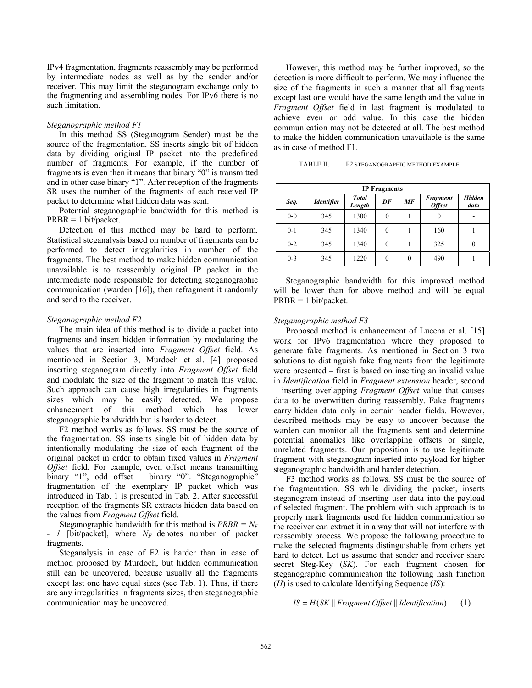IPv4 fragmentation, fragments reassembly may be performed by intermediate nodes as well as by the sender and/or receiver. This may limit the steganogram exchange only to the fragmenting and assembling nodes. For IPv6 there is no such limitation.

#### *Steganographic method F1*

In this method SS (Steganogram Sender) must be the source of the fragmentation. SS inserts single bit of hidden data by dividing original IP packet into the predefined number of fragments. For example, if the number of fragments is even then it means that binary "0" is transmitted and in other case binary "1". After reception of the fragments SR uses the number of the fragments of each received IP packet to determine what hidden data was sent.

Potential steganographic bandwidth for this method is PRBR = 1 bit/packet.

Detection of this method may be hard to perform. Statistical steganalysis based on number of fragments can be performed to detect irregularities in number of the fragments. The best method to make hidden communication unavailable is to reassembly original IP packet in the intermediate node responsible for detecting steganographic communication (warden [16]), then refragment it randomly and send to the receiver.

#### *Steganographic method F2*

The main idea of this method is to divide a packet into fragments and insert hidden information by modulating the values that are inserted into *Fragment Offset* field. As mentioned in Section 3, Murdoch et al. [4] proposed inserting steganogram directly into *Fragment Offset* field and modulate the size of the fragment to match this value. Such approach can cause high irregularities in fragments sizes which may be easily detected. We propose enhancement of this method which has lower steganographic bandwidth but is harder to detect.

F2 method works as follows. SS must be the source of the fragmentation. SS inserts single bit of hidden data by intentionally modulating the size of each fragment of the original packet in order to obtain fixed values in *Fragment Offset* field. For example, even offset means transmitting binary "1", odd offset – binary "0". "Steganographic" fragmentation of the exemplary IP packet which was introduced in Tab. 1 is presented in Tab. 2. After successful reception of the fragments SR extracts hidden data based on the values from *Fragment Offset* field.

Steganographic bandwidth for this method is  $PRBR = N_F$ *- 1* [bit/packet], where *NF* denotes number of packet fragments.

Steganalysis in case of F2 is harder than in case of method proposed by Murdoch, but hidden communication still can be uncovered, because usually all the fragments except last one have equal sizes (see Tab. 1). Thus, if there are any irregularities in fragments sizes, then steganographic communication may be uncovered.

However, this method may be further improved, so the detection is more difficult to perform. We may influence the size of the fragments in such a manner that all fragments except last one would have the same length and the value in *Fragment Offset* field in last fragment is modulated to achieve even or odd value. In this case the hidden communication may not be detected at all. The best method to make the hidden communication unavailable is the same as in case of method F1.

| TABLE II. | F2 STEGANOGRAPHIC METHOD EXAMPLE |  |
|-----------|----------------------------------|--|
|           |                                  |  |

|         | <b>IP</b> Fragments |                        |          |           |                           |                       |  |  |  |
|---------|---------------------|------------------------|----------|-----------|---------------------------|-----------------------|--|--|--|
| Seq.    | <b>Identifier</b>   | <b>Total</b><br>Length | DF       | <b>MF</b> | Fragment<br><b>Offset</b> | <b>Hidden</b><br>data |  |  |  |
| $0-0$   | 345                 | 1300                   | $\theta$ |           | $\theta$                  |                       |  |  |  |
| $0 - 1$ | 345                 | 1340                   | $\theta$ |           | 160                       |                       |  |  |  |
| $0 - 2$ | 345                 | 1340                   | $\theta$ |           | 325                       | $\theta$              |  |  |  |
| $0 - 3$ | 345                 | 1220                   | $\theta$ | $\theta$  | 490                       |                       |  |  |  |

Steganographic bandwidth for this improved method will be lower than for above method and will be equal  $PRBR = 1 \text{ bit/packet}.$ 

#### *Steganographic method F3*

Proposed method is enhancement of Lucena et al. [15] work for IPv6 fragmentation where they proposed to generate fake fragments. As mentioned in Section 3 two solutions to distinguish fake fragments from the legitimate were presented – first is based on inserting an invalid value in *Identification* field in *Fragment extension* header, second – inserting overlapping *Fragment Offset* value that causes data to be overwritten during reassembly. Fake fragments carry hidden data only in certain header fields. However, described methods may be easy to uncover because the warden can monitor all the fragments sent and determine potential anomalies like overlapping offsets or single, unrelated fragments. Our proposition is to use legitimate fragment with steganogram inserted into payload for higher steganographic bandwidth and harder detection.

F3 method works as follows. SS must be the source of the fragmentation. SS while dividing the packet, inserts steganogram instead of inserting user data into the payload of selected fragment. The problem with such approach is to properly mark fragments used for hidden communication so the receiver can extract it in a way that will not interfere with reassembly process. We propose the following procedure to make the selected fragments distinguishable from others yet hard to detect. Let us assume that sender and receiver share secret Steg-Key (*SK*). For each fragment chosen for steganographic communication the following hash function (*H*) is used to calculate Identifying Sequence (*IS*):

 $IS = H(SK \parallel Fragment\;Offset \parallel Identification)$  (1)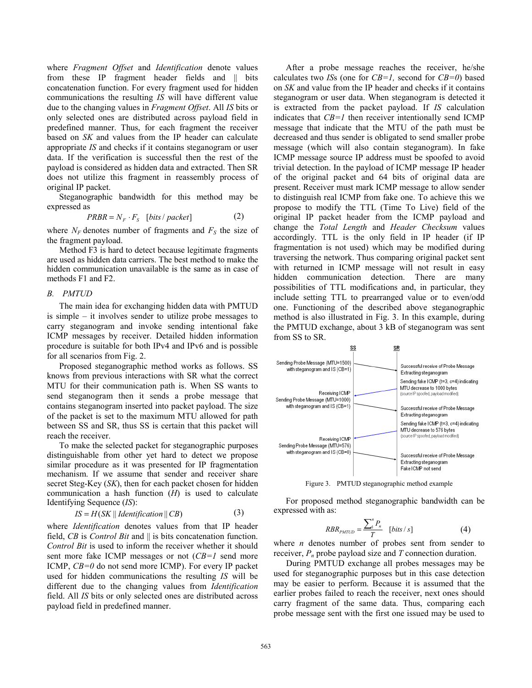where *Fragment Offset* and *Identification* denote values from these IP fragment header fields and || bits concatenation function. For every fragment used for hidden communications the resulting *IS* will have different value due to the changing values in *Fragment Offset*. All *IS* bits or only selected ones are distributed across payload field in predefined manner. Thus, for each fragment the receiver based on *SK* and values from the IP header can calculate appropriate *IS* and checks if it contains steganogram or user data. If the verification is successful then the rest of the payload is considered as hidden data and extracted. Then SR does not utilize this fragment in reassembly process of original IP packet.

Steganographic bandwidth for this method may be expressed as

$$
PRBR = N_F \cdot F_S \quad [bits / packet] \tag{2}
$$

where  $N_F$  denotes number of fragments and  $F_S$  the size of the fragment payload.

Method F3 is hard to detect because legitimate fragments are used as hidden data carriers. The best method to make the hidden communication unavailable is the same as in case of methods F1 and F2.

#### *B. PMTUD*

The main idea for exchanging hidden data with PMTUD is simple – it involves sender to utilize probe messages to carry steganogram and invoke sending intentional fake ICMP messages by receiver. Detailed hidden information procedure is suitable for both IPv4 and IPv6 and is possible for all scenarios from Fig. 2.

Proposed steganographic method works as follows. SS knows from previous interactions with SR what the correct MTU for their communication path is. When SS wants to send steganogram then it sends a probe message that contains steganogram inserted into packet payload. The size of the packet is set to the maximum MTU allowed for path between SS and SR, thus SS is certain that this packet will reach the receiver.

To make the selected packet for steganographic purposes distinguishable from other yet hard to detect we propose similar procedure as it was presented for IP fragmentation mechanism. If we assume that sender and receiver share secret Steg-Key (*SK*), then for each packet chosen for hidden communication a hash function (*H*) is used to calculate Identifying Sequence (*IS*):

$$
IS = H(SK \parallel Identification \parallel CB)
$$
 (3)

where *Identification* denotes values from that IP header field, *CB* is *Control Bit* and || is bits concatenation function. *Control Bit* is used to inform the receiver whether it should sent more fake ICMP messages or not (*CB=1* send more ICMP, *CB=0* do not send more ICMP). For every IP packet used for hidden communications the resulting *IS* will be different due to the changing values from *Identification* field. All *IS* bits or only selected ones are distributed across payload field in predefined manner.

After a probe message reaches the receiver, he/she calculates two *IS*s (one for *CB=1,* second for *CB=0*) based on *SK* and value from the IP header and checks if it contains steganogram or user data. When steganogram is detected it is extracted from the packet payload. If *IS* calculation indicates that *CB=1* then receiver intentionally send ICMP message that indicate that the MTU of the path must be decreased and thus sender is obligated to send smaller probe message (which will also contain steganogram). In fake ICMP message source IP address must be spoofed to avoid trivial detection. In the payload of ICMP message IP header of the original packet and 64 bits of original data are present. Receiver must mark ICMP message to allow sender to distinguish real ICMP from fake one. To achieve this we propose to modify the TTL (Time To Live) field of the original IP packet header from the ICMP payload and change the *Total Length* and *Header Checksum* values accordingly. TTL is the only field in IP header (if IP fragmentation is not used) which may be modified during traversing the network. Thus comparing original packet sent with returned in ICMP message will not result in easy hidden communication detection. There are many possibilities of TTL modifications and, in particular, they include setting TTL to prearranged value or to even/odd one. Functioning of the described above steganographic method is also illustrated in Fig. 3. In this example, during the PMTUD exchange, about 3 kB of steganogram was sent from SS to SR.



Figure 3. PMTUD steganographic method example

For proposed method steganographic bandwidth can be expressed with as:

$$
RBR_{PMTUD} = \frac{\sum_{i=1}^{n} P_{n}}{T} \quad [bits/s]
$$
 (4)

where *n* denotes number of probes sent from sender to receiver,  $P_n$  probe payload size and  $T$  connection duration.

During PMTUD exchange all probes messages may be used for steganographic purposes but in this case detection may be easier to perform. Because it is assumed that the earlier probes failed to reach the receiver, next ones should carry fragment of the same data. Thus, comparing each probe message sent with the first one issued may be used to